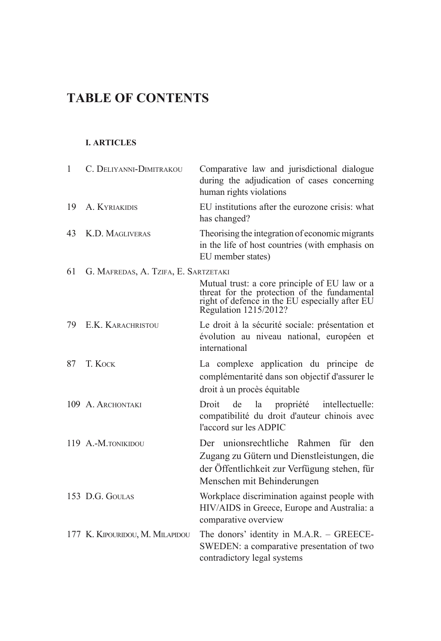## **TABLE OF CONTENTS**

## **I. ARTICLES**

| $\mathbf{1}$ | C. DELIYANNI-DIMITRAKOU              | Comparative law and jurisdictional dialogue<br>during the adjudication of cases concerning<br>human rights violations                                                    |
|--------------|--------------------------------------|--------------------------------------------------------------------------------------------------------------------------------------------------------------------------|
| 19           | A. KYRIAKIDIS                        | EU institutions after the eurozone crisis: what<br>has changed?                                                                                                          |
| 43           | K.D. MAGLIVERAS                      | Theorising the integration of economic migrants<br>in the life of host countries (with emphasis on<br>EU member states)                                                  |
| 61           | G. MAFREDAS, A. TZIFA, E. SARTZETAKI |                                                                                                                                                                          |
|              |                                      | Mutual trust: a core principle of EU law or a<br>threat for the protection of the fundamental<br>right of defence in the EU especially after EU<br>Regulation 1215/2012? |
| 79           | E.K. KARACHRISTOU                    | Le droit à la sécurité sociale: présentation et<br>évolution au niveau national, européen et<br>international                                                            |
| 87           | T. KOCK                              | La complexe application du principe de<br>complémentarité dans son objectif d'assurer le<br>droit à un procès équitable                                                  |
|              | 109 A. ARCHONTAKI                    | Droit<br>la propriété intellectuelle:<br>de<br>compatibilité du droit d'auteur chinois avec<br>l'accord sur les ADPIC                                                    |
|              | 119 A.-M.TONIKIDOU                   | Der unionsrechtliche Rahmen<br>für<br>den<br>Zugang zu Gütern und Dienstleistungen, die<br>der Öffentlichkeit zur Verfügung stehen, für<br>Menschen mit Behinderungen    |
|              | 153 D.G. GOULAS                      | Workplace discrimination against people with<br>HIV/AIDS in Greece, Europe and Australia: a<br>comparative overview                                                      |
|              | 177 K. KIPOURIDOU, M. MILAPIDOU      | The donors' identity in M.A.R. - GREECE-<br>SWEDEN: a comparative presentation of two<br>contradictory legal systems                                                     |